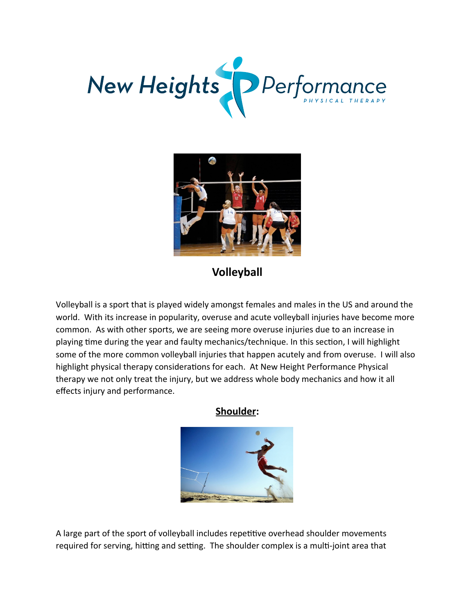



**Volleyball**

Volleyball is a sport that is played widely amongst females and males in the US and around the world. With its increase in popularity, overuse and acute volleyball injuries have become more common. As with other sports, we are seeing more overuse injuries due to an increase in playing time during the year and faulty mechanics/technique. In this section, I will highlight some of the more common volleyball injuries that happen acutely and from overuse. I will also highlight physical therapy considerations for each. At New Height Performance Physical therapy we not only treat the injury, but we address whole body mechanics and how it all effects injury and performance.

## **Shoulder:**



A large part of the sport of volleyball includes repetitive overhead shoulder movements required for serving, hitting and setting. The shoulder complex is a multi-joint area that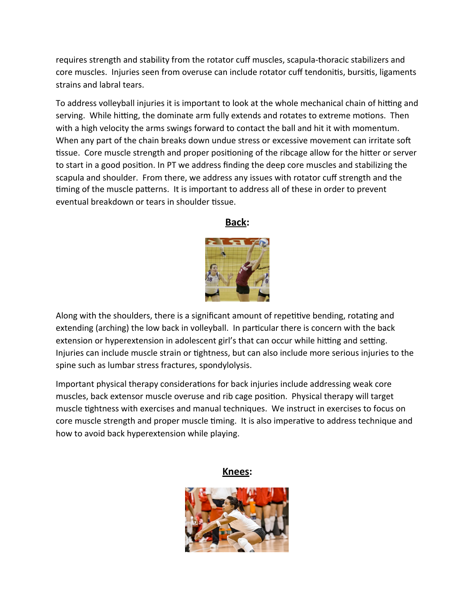requires strength and stability from the rotator cuff muscles, scapula-thoracic stabilizers and core muscles. Injuries seen from overuse can include rotator cuff tendonitis, bursitis, ligaments strains and labral tears.

To address volleyball injuries it is important to look at the whole mechanical chain of hitting and serving. While hitting, the dominate arm fully extends and rotates to extreme motions. Then with a high velocity the arms swings forward to contact the ball and hit it with momentum. When any part of the chain breaks down undue stress or excessive movement can irritate soft tissue. Core muscle strength and proper positioning of the ribcage allow for the hitter or server to start in a good position. In PT we address finding the deep core muscles and stabilizing the scapula and shoulder. From there, we address any issues with rotator cuff strength and the timing of the muscle patterns. It is important to address all of these in order to prevent eventual breakdown or tears in shoulder tissue.

**Back:**



Along with the shoulders, there is a significant amount of repetitive bending, rotating and extending (arching) the low back in volleyball. In particular there is concern with the back extension or hyperextension in adolescent girl's that can occur while hitting and setting. Injuries can include muscle strain or tightness, but can also include more serious injuries to the spine such as lumbar stress fractures, spondylolysis.

Important physical therapy considerations for back injuries include addressing weak core muscles, back extensor muscle overuse and rib cage position. Physical therapy will target muscle tightness with exercises and manual techniques. We instruct in exercises to focus on core muscle strength and proper muscle timing. It is also imperative to address technique and how to avoid back hyperextension while playing.

**Knees:**